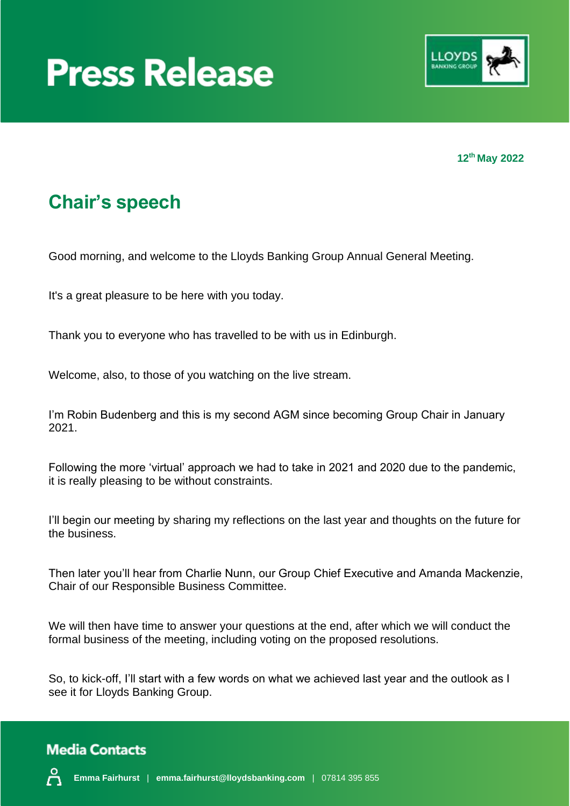



**12th May 2022**

### **Chair's speech**

Good morning, and welcome to the Lloyds Banking Group Annual General Meeting.

It's a great pleasure to be here with you today.

Thank you to everyone who has travelled to be with us in Edinburgh.

Welcome, also, to those of you watching on the live stream.

I'm Robin Budenberg and this is my second AGM since becoming Group Chair in January 2021.

Following the more 'virtual' approach we had to take in 2021 and 2020 due to the pandemic, it is really pleasing to be without constraints.

I'll begin our meeting by sharing my reflections on the last year and thoughts on the future for the business.

Then later you'll hear from Charlie Nunn, our Group Chief Executive and Amanda Mackenzie, Chair of our Responsible Business Committee.

We will then have time to answer your questions at the end, after which we will conduct the formal business of the meeting, including voting on the proposed resolutions.

So, to kick-off, I'll start with a few words on what we achieved last year and the outlook as I see it for Lloyds Banking Group.

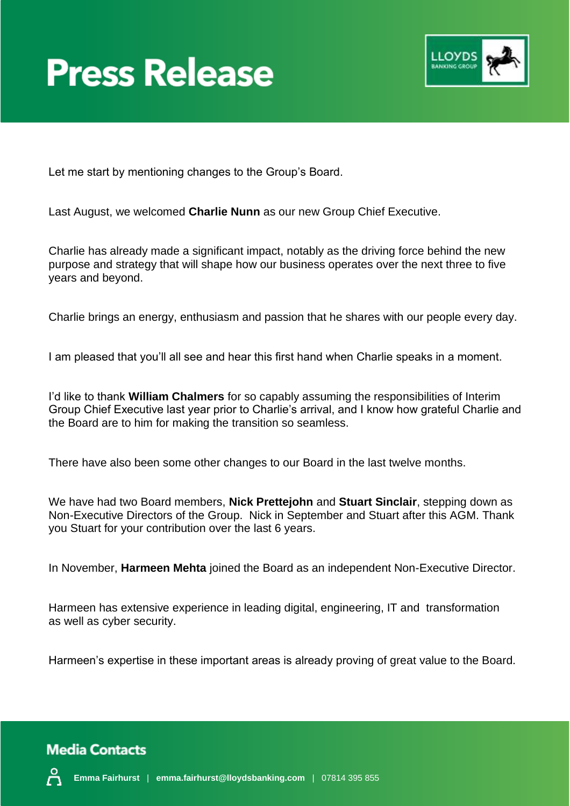



Let me start by mentioning changes to the Group's Board.

Last August, we welcomed **Charlie Nunn** as our new Group Chief Executive.

Charlie has already made a significant impact, notably as the driving force behind the new purpose and strategy that will shape how our business operates over the next three to five years and beyond.

Charlie brings an energy, enthusiasm and passion that he shares with our people every day.

I am pleased that you'll all see and hear this first hand when Charlie speaks in a moment.

I'd like to thank **William Chalmers** for so capably assuming the responsibilities of Interim Group Chief Executive last year prior to Charlie's arrival, and I know how grateful Charlie and the Board are to him for making the transition so seamless.

There have also been some other changes to our Board in the last twelve months.

We have had two Board members, **Nick Prettejohn** and **Stuart Sinclair**, stepping down as Non-Executive Directors of the Group. Nick in September and Stuart after this AGM. Thank you Stuart for your contribution over the last 6 years.

In November, **Harmeen Mehta** joined the Board as an independent Non-Executive Director.

Harmeen has extensive experience in leading digital, engineering, IT and transformation as well as cyber security.

Harmeen's expertise in these important areas is already proving of great value to the Board.

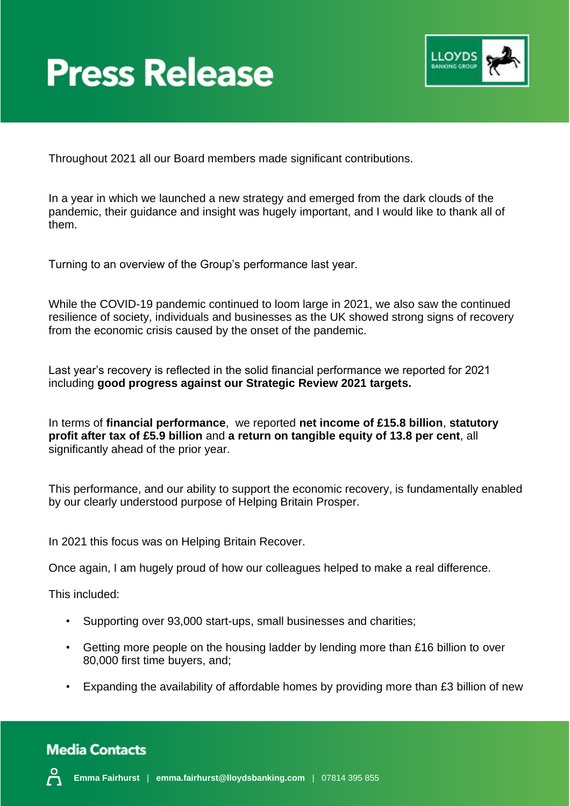

Throughout 2021 all our Board members made significant contributions.

In a year in which we launched a new strategy and emerged from the dark clouds of the pandemic, their guidance and insight was hugely important, and I would like to thank all of them.

Turning to an overview of the Group's performance last year.

While the COVID-19 pandemic continued to loom large in 2021, we also saw the continued resilience of society, individuals and businesses as the UK showed strong signs of recovery from the economic crisis caused by the onset of the pandemic.

Last year's recovery is reflected in the solid financial performance we reported for 2021 including **good progress against our Strategic Review 2021 targets.**

In terms of **financial performance**, we reported **net income of £15.8 billion**, **statutory profit after tax of £5.9 billion** and **a return on tangible equity of 13.8 per cent**, all significantly ahead of the prior year.

This performance, and our ability to support the economic recovery, is fundamentally enabled by our clearly understood purpose of Helping Britain Prosper.

In 2021 this focus was on Helping Britain Recover.

Once again, I am hugely proud of how our colleagues helped to make a real difference.

This included:

- Supporting over 93,000 start-ups, small businesses and charities;
- Getting more people on the housing ladder by lending more than £16 billion to over 80,000 first time buyers, and;
- Expanding the availability of affordable homes by providing more than £3 billion of new

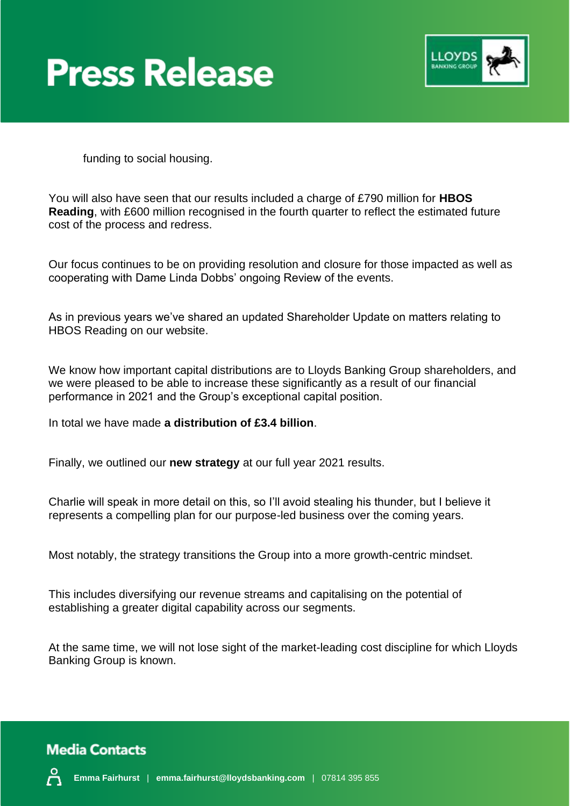



funding to social housing.

You will also have seen that our results included a charge of £790 million for **HBOS Reading**, with £600 million recognised in the fourth quarter to reflect the estimated future cost of the process and redress.

Our focus continues to be on providing resolution and closure for those impacted as well as cooperating with Dame Linda Dobbs' ongoing Review of the events.

As in previous years we've shared an updated Shareholder Update on matters relating to HBOS Reading on our website.

We know how important capital distributions are to Lloyds Banking Group shareholders, and we were pleased to be able to increase these significantly as a result of our financial performance in 2021 and the Group's exceptional capital position.

In total we have made **a distribution of £3.4 billion**.

Finally, we outlined our **new strategy** at our full year 2021 results.

Charlie will speak in more detail on this, so I'll avoid stealing his thunder, but I believe it represents a compelling plan for our purpose-led business over the coming years.

Most notably, the strategy transitions the Group into a more growth-centric mindset.

This includes diversifying our revenue streams and capitalising on the potential of establishing a greater digital capability across our segments.

At the same time, we will not lose sight of the market-leading cost discipline for which Lloyds Banking Group is known.

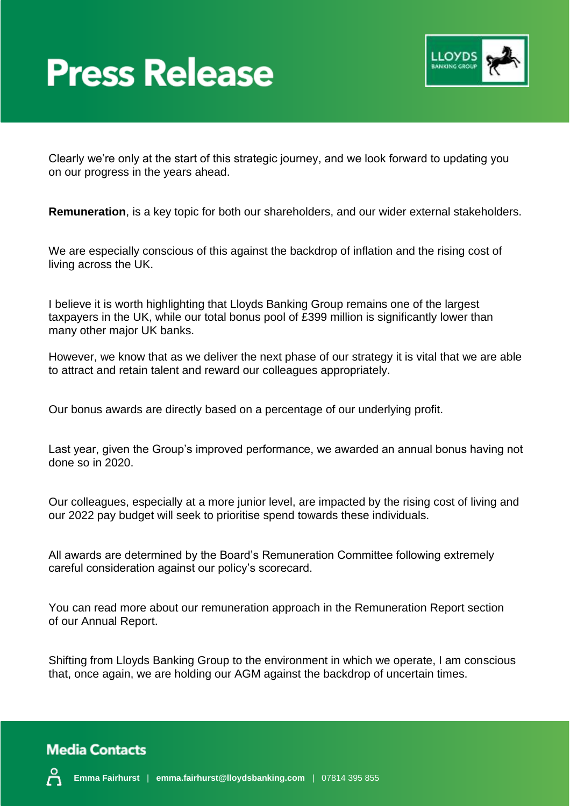

Clearly we're only at the start of this strategic journey, and we look forward to updating you on our progress in the years ahead.

**Remuneration**, is a key topic for both our shareholders, and our wider external stakeholders.

We are especially conscious of this against the backdrop of inflation and the rising cost of living across the UK.

I believe it is worth highlighting that Lloyds Banking Group remains one of the largest taxpayers in the UK, while our total bonus pool of £399 million is significantly lower than many other major UK banks.

However, we know that as we deliver the next phase of our strategy it is vital that we are able to attract and retain talent and reward our colleagues appropriately.

Our bonus awards are directly based on a percentage of our underlying profit.

Last year, given the Group's improved performance, we awarded an annual bonus having not done so in 2020.

Our colleagues, especially at a more junior level, are impacted by the rising cost of living and our 2022 pay budget will seek to prioritise spend towards these individuals.

All awards are determined by the Board's Remuneration Committee following extremely careful consideration against our policy's scorecard.

You can read more about our remuneration approach in the Remuneration Report section of our Annual Report.

Shifting from Lloyds Banking Group to the environment in which we operate, I am conscious that, once again, we are holding our AGM against the backdrop of uncertain times.

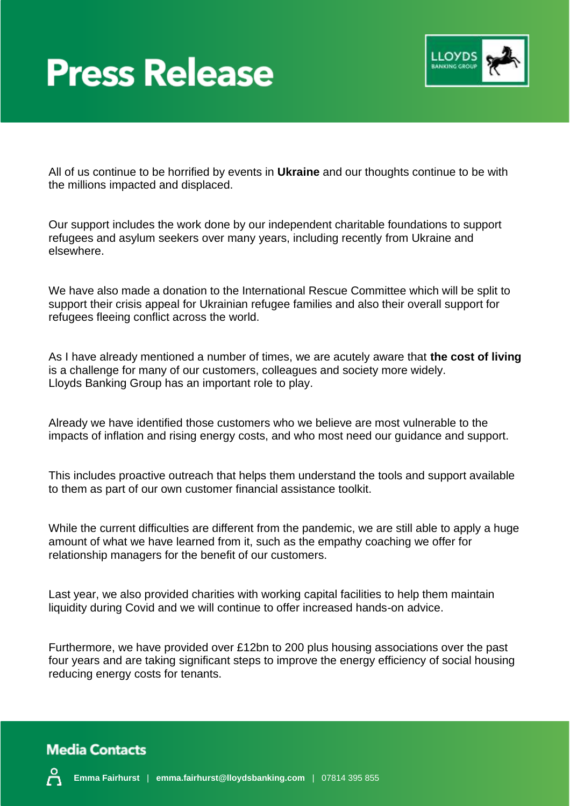

All of us continue to be horrified by events in **Ukraine** and our thoughts continue to be with the millions impacted and displaced.

Our support includes the work done by our independent charitable foundations to support refugees and asylum seekers over many years, including recently from Ukraine and elsewhere.

We have also made a donation to the International Rescue Committee which will be split to support their crisis appeal for Ukrainian refugee families and also their overall support for refugees fleeing conflict across the world.

As I have already mentioned a number of times, we are acutely aware that **the cost of living** is a challenge for many of our customers, colleagues and society more widely. Lloyds Banking Group has an important role to play.

Already we have identified those customers who we believe are most vulnerable to the impacts of inflation and rising energy costs, and who most need our guidance and support.

This includes proactive outreach that helps them understand the tools and support available to them as part of our own customer financial assistance toolkit.

While the current difficulties are different from the pandemic, we are still able to apply a huge amount of what we have learned from it, such as the empathy coaching we offer for relationship managers for the benefit of our customers.

Last year, we also provided charities with working capital facilities to help them maintain liquidity during Covid and we will continue to offer increased hands-on advice.

Furthermore, we have provided over £12bn to 200 plus housing associations over the past four years and are taking significant steps to improve the energy efficiency of social housing reducing energy costs for tenants.



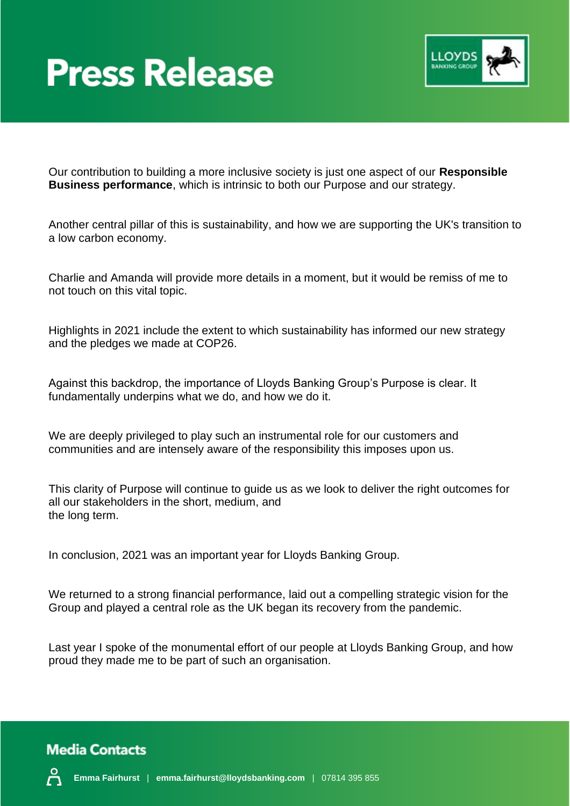

Our contribution to building a more inclusive society is just one aspect of our **Responsible Business performance**, which is intrinsic to both our Purpose and our strategy.

Another central pillar of this is sustainability, and how we are supporting the UK's transition to a low carbon economy.

Charlie and Amanda will provide more details in a moment, but it would be remiss of me to not touch on this vital topic.

Highlights in 2021 include the extent to which sustainability has informed our new strategy and the pledges we made at COP26.

Against this backdrop, the importance of Lloyds Banking Group's Purpose is clear. It fundamentally underpins what we do, and how we do it.

We are deeply privileged to play such an instrumental role for our customers and communities and are intensely aware of the responsibility this imposes upon us.

This clarity of Purpose will continue to guide us as we look to deliver the right outcomes for all our stakeholders in the short, medium, and the long term.

In conclusion, 2021 was an important year for Lloyds Banking Group.

We returned to a strong financial performance, laid out a compelling strategic vision for the Group and played a central role as the UK began its recovery from the pandemic.

Last year I spoke of the monumental effort of our people at Lloyds Banking Group, and how proud they made me to be part of such an organisation.

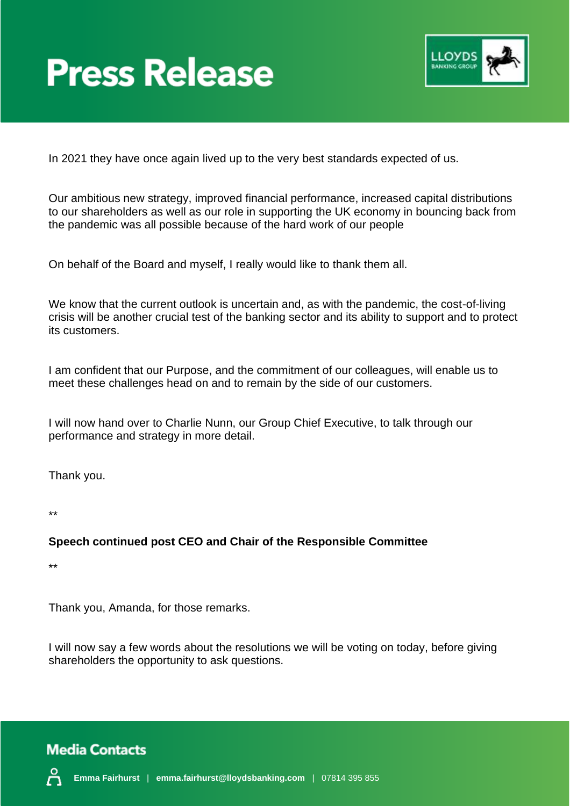

In 2021 they have once again lived up to the very best standards expected of us.

Our ambitious new strategy, improved financial performance, increased capital distributions to our shareholders as well as our role in supporting the UK economy in bouncing back from the pandemic was all possible because of the hard work of our people

On behalf of the Board and myself, I really would like to thank them all.

We know that the current outlook is uncertain and, as with the pandemic, the cost-of-living crisis will be another crucial test of the banking sector and its ability to support and to protect its customers.

I am confident that our Purpose, and the commitment of our colleagues, will enable us to meet these challenges head on and to remain by the side of our customers.

I will now hand over to Charlie Nunn, our Group Chief Executive, to talk through our performance and strategy in more detail.

Thank you.

\*\*

#### **Speech continued post CEO and Chair of the Responsible Committee**

\*\*

Thank you, Amanda, for those remarks.

I will now say a few words about the resolutions we will be voting on today, before giving shareholders the opportunity to ask questions.

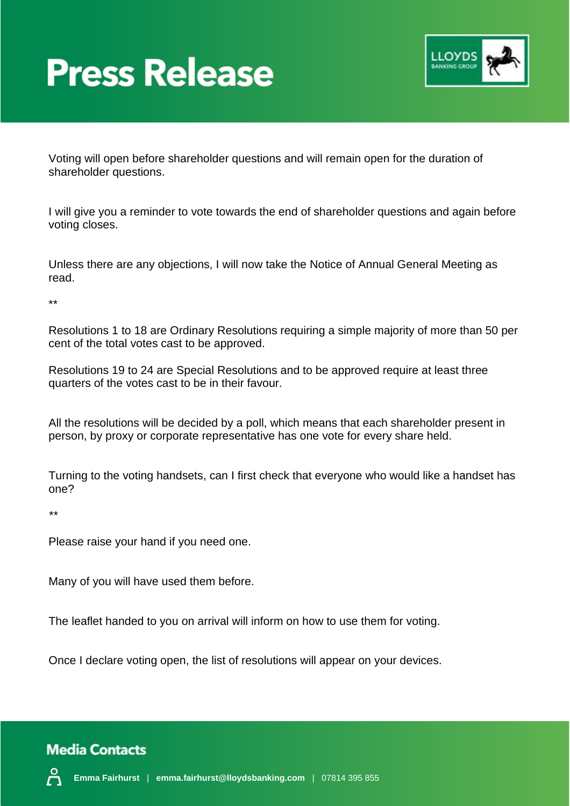

Voting will open before shareholder questions and will remain open for the duration of shareholder questions.

I will give you a reminder to vote towards the end of shareholder questions and again before voting closes.

Unless there are any objections, I will now take the Notice of Annual General Meeting as read.

\*\*

Resolutions 1 to 18 are Ordinary Resolutions requiring a simple majority of more than 50 per cent of the total votes cast to be approved.

Resolutions 19 to 24 are Special Resolutions and to be approved require at least three quarters of the votes cast to be in their favour.

All the resolutions will be decided by a poll, which means that each shareholder present in person, by proxy or corporate representative has one vote for every share held.

Turning to the voting handsets, can I first check that everyone who would like a handset has one?

*\*\**

Please raise your hand if you need one.

Many of you will have used them before.

The leaflet handed to you on arrival will inform on how to use them for voting.

Once I declare voting open, the list of resolutions will appear on your devices.

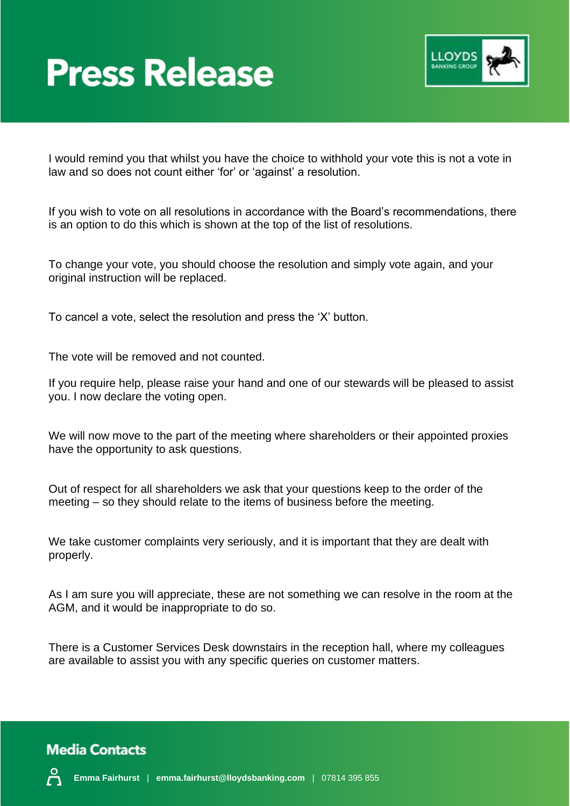

I would remind you that whilst you have the choice to withhold your vote this is not a vote in law and so does not count either 'for' or 'against' a resolution.

If you wish to vote on all resolutions in accordance with the Board's recommendations, there is an option to do this which is shown at the top of the list of resolutions.

To change your vote, you should choose the resolution and simply vote again, and your original instruction will be replaced.

To cancel a vote, select the resolution and press the 'X' button.

The vote will be removed and not counted.

If you require help, please raise your hand and one of our stewards will be pleased to assist you. I now declare the voting open.

We will now move to the part of the meeting where shareholders or their appointed proxies have the opportunity to ask questions.

Out of respect for all shareholders we ask that your questions keep to the order of the meeting – so they should relate to the items of business before the meeting.

We take customer complaints very seriously, and it is important that they are dealt with properly.

As I am sure you will appreciate, these are not something we can resolve in the room at the AGM, and it would be inappropriate to do so.

There is a Customer Services Desk downstairs in the reception hall, where my colleagues are available to assist you with any specific queries on customer matters.